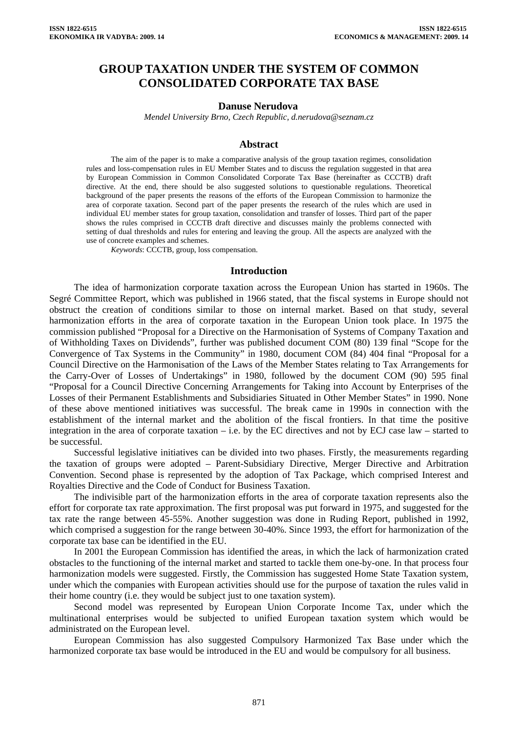# **GROUP TAXATION UNDER THE SYSTEM OF COMMON CONSOLIDATED CORPORATE TAX BASE**

### **Danuse Nerudova**

*Mendel University Brno, Czech Republic, d.nerudova@seznam.cz* 

# **Abstract**

The aim of the paper is to make a comparative analysis of the group taxation regimes, consolidation rules and loss-compensation rules in EU Member States and to discuss the regulation suggested in that area by European Commission in Common Consolidated Corporate Tax Base (hereinafter as CCCTB) draft directive. At the end, there should be also suggested solutions to questionable regulations. Theoretical background of the paper presents the reasons of the efforts of the European Commission to harmonize the area of corporate taxation. Second part of the paper presents the research of the rules which are used in individual EU member states for group taxation, consolidation and transfer of losses. Third part of the paper shows the rules comprised in CCCTB draft directive and discusses mainly the problems connected with setting of dual thresholds and rules for entering and leaving the group. All the aspects are analyzed with the use of concrete examples and schemes.

*Keywords*: CCCTB, group, loss compensation.

#### **Introduction**

The idea of harmonization corporate taxation across the European Union has started in 1960s. The Segré Committee Report, which was published in 1966 stated, that the fiscal systems in Europe should not obstruct the creation of conditions similar to those on internal market. Based on that study, several harmonization efforts in the area of corporate taxation in the European Union took place. In 1975 the commission published "Proposal for a Directive on the Harmonisation of Systems of Company Taxation and of Withholding Taxes on Dividends", further was published document COM (80) 139 final "Scope for the Convergence of Tax Systems in the Community" in 1980, document COM (84) 404 final "Proposal for a Council Directive on the Harmonisation of the Laws of the Member States relating to Tax Arrangements for the Carry-Over of Losses of Undertakings" in 1980, followed by the document COM (90) 595 final "Proposal for a Council Directive Concerning Arrangements for Taking into Account by Enterprises of the Losses of their Permanent Establishments and Subsidiaries Situated in Other Member States" in 1990. None of these above mentioned initiatives was successful. The break came in 1990s in connection with the establishment of the internal market and the abolition of the fiscal frontiers. In that time the positive integration in the area of corporate taxation – i.e. by the EC directives and not by ECJ case law – started to be successful.

Successful legislative initiatives can be divided into two phases. Firstly, the measurements regarding the taxation of groups were adopted – Parent-Subsidiary Directive, Merger Directive and Arbitration Convention. Second phase is represented by the adoption of Tax Package, which comprised Interest and Royalties Directive and the Code of Conduct for Business Taxation.

The indivisible part of the harmonization efforts in the area of corporate taxation represents also the effort for corporate tax rate approximation. The first proposal was put forward in 1975, and suggested for the tax rate the range between 45-55%. Another suggestion was done in Ruding Report, published in 1992, which comprised a suggestion for the range between 30-40%. Since 1993, the effort for harmonization of the corporate tax base can be identified in the EU.

In 2001 the European Commission has identified the areas, in which the lack of harmonization crated obstacles to the functioning of the internal market and started to tackle them one-by-one. In that process four harmonization models were suggested. Firstly, the Commission has suggested Home State Taxation system, under which the companies with European activities should use for the purpose of taxation the rules valid in their home country (i.e. they would be subject just to one taxation system).

Second model was represented by European Union Corporate Income Tax, under which the multinational enterprises would be subjected to unified European taxation system which would be administrated on the European level.

European Commission has also suggested Compulsory Harmonized Tax Base under which the harmonized corporate tax base would be introduced in the EU and would be compulsory for all business.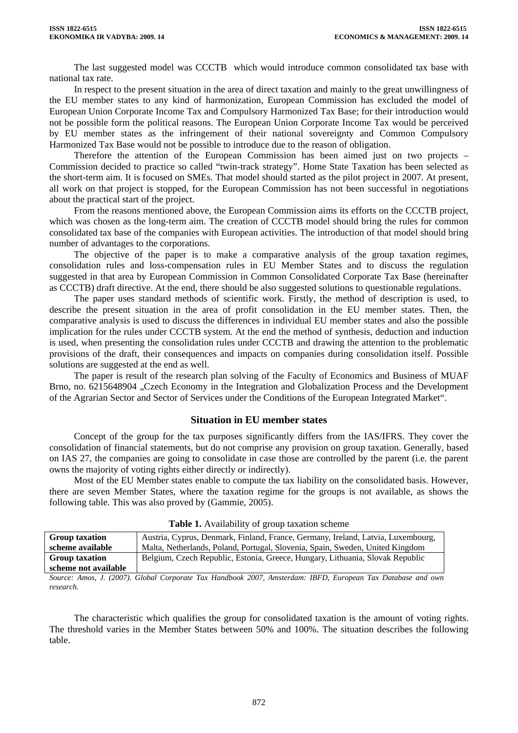The last suggested model was CCCTB which would introduce common consolidated tax base with national tax rate.

In respect to the present situation in the area of direct taxation and mainly to the great unwillingness of the EU member states to any kind of harmonization, European Commission has excluded the model of European Union Corporate Income Tax and Compulsory Harmonized Tax Base; for their introduction would not be possible form the political reasons. The European Union Corporate Income Tax would be perceived by EU member states as the infringement of their national sovereignty and Common Compulsory Harmonized Tax Base would not be possible to introduce due to the reason of obligation.

Therefore the attention of the European Commission has been aimed just on two projects – Commission decided to practice so called "twin-track strategy". Home State Taxation has been selected as the short-term aim. It is focused on SMEs. That model should started as the pilot project in 2007. At present, all work on that project is stopped, for the European Commission has not been successful in negotiations about the practical start of the project.

From the reasons mentioned above, the European Commission aims its efforts on the CCCTB project, which was chosen as the long-term aim. The creation of CCCTB model should bring the rules for common consolidated tax base of the companies with European activities. The introduction of that model should bring number of advantages to the corporations.

The objective of the paper is to make a comparative analysis of the group taxation regimes, consolidation rules and loss-compensation rules in EU Member States and to discuss the regulation suggested in that area by European Commission in Common Consolidated Corporate Tax Base (hereinafter as CCCTB) draft directive. At the end, there should be also suggested solutions to questionable regulations.

The paper uses standard methods of scientific work. Firstly, the method of description is used, to describe the present situation in the area of profit consolidation in the EU member states. Then, the comparative analysis is used to discuss the differences in individual EU member states and also the possible implication for the rules under CCCTB system. At the end the method of synthesis, deduction and induction is used, when presenting the consolidation rules under CCCTB and drawing the attention to the problematic provisions of the draft, their consequences and impacts on companies during consolidation itself. Possible solutions are suggested at the end as well.

The paper is result of the research plan solving of the Faculty of Economics and Business of MUAF Brno, no. 6215648904 "Czech Economy in the Integration and Globalization Process and the Development of the Agrarian Sector and Sector of Services under the Conditions of the European Integrated Market".

# **Situation in EU member states**

Concept of the group for the tax purposes significantly differs from the IAS/IFRS. They cover the consolidation of financial statements, but do not comprise any provision on group taxation. Generally, based on IAS 27, the companies are going to consolidate in case those are controlled by the parent (i.e. the parent owns the majority of voting rights either directly or indirectly).

Most of the EU Member states enable to compute the tax liability on the consolidated basis. However, there are seven Member States, where the taxation regime for the groups is not available, as shows the following table. This was also proved by (Gammie, 2005).

| <b>Group taxation</b> | Austria, Cyprus, Denmark, Finland, France, Germany, Ireland, Latvia, Luxembourg, |
|-----------------------|----------------------------------------------------------------------------------|
| scheme available      | Malta, Netherlands, Poland, Portugal, Slovenia, Spain, Sweden, United Kingdom    |
| <b>Group taxation</b> | Belgium, Czech Republic, Estonia, Greece, Hungary, Lithuania, Slovak Republic    |
| scheme not available  |                                                                                  |

| Table 1. Availability of group taxation scheme |  |  |  |
|------------------------------------------------|--|--|--|
|------------------------------------------------|--|--|--|

*Source: Amos, J. (2007). Global Corporate Tax Handbook 2007, Amsterdam: IBFD, European Tax Database and own research.*

The characteristic which qualifies the group for consolidated taxation is the amount of voting rights. The threshold varies in the Member States between 50% and 100%. The situation describes the following table.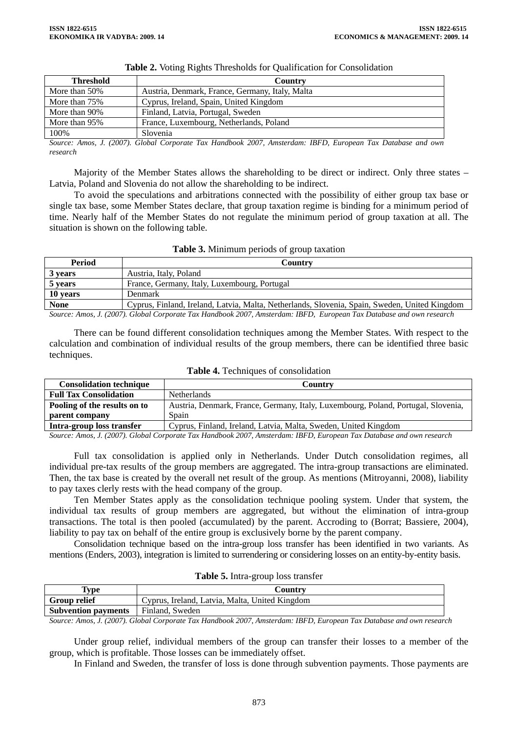| <b>Threshold</b> | <b>Country</b>                                  |
|------------------|-------------------------------------------------|
| More than $50\%$ | Austria, Denmark, France, Germany, Italy, Malta |
| More than 75%    | Cyprus, Ireland, Spain, United Kingdom          |
| More than 90%    | Finland, Latvia, Portugal, Sweden               |
| More than 95%    | France, Luxembourg, Netherlands, Poland         |
| 100%             | Slovenia                                        |

*Source: Amos, J. (2007). Global Corporate Tax Handbook 2007, Amsterdam: IBFD, European Tax Database and own research*

Majority of the Member States allows the shareholding to be direct or indirect. Only three states – Latvia, Poland and Slovenia do not allow the shareholding to be indirect.

To avoid the speculations and arbitrations connected with the possibility of either group tax base or single tax base, some Member States declare, that group taxation regime is binding for a minimum period of time. Nearly half of the Member States do not regulate the minimum period of group taxation at all. The situation is shown on the following table.

| <b>Table 3.</b> Minimum periods of group taxation                                                                    |                                                                                               |  |
|----------------------------------------------------------------------------------------------------------------------|-----------------------------------------------------------------------------------------------|--|
| <b>Period</b>                                                                                                        | Country                                                                                       |  |
| 3 years                                                                                                              | Austria, Italy, Poland                                                                        |  |
| 5 years                                                                                                              | France, Germany, Italy, Luxembourg, Portugal                                                  |  |
| 10 years                                                                                                             | Denmark                                                                                       |  |
| <b>None</b>                                                                                                          | Cyprus, Finland, Ireland, Latvia, Malta, Netherlands, Slovenia, Spain, Sweden, United Kingdom |  |
| Saunaer Amas, J. (2007). Clahal Camarata Tau Haudhaal, 2007, Ameterdam, IDED. European Tau Databaga and awn negearab |                                                                                               |  |

*Source: Amos, J. (2007). Global Corporate Tax Handbook 2007, Amsterdam: IBFD, European Tax Database and own research*

There can be found different consolidation techniques among the Member States. With respect to the calculation and combination of individual results of the group members, there can be identified three basic techniques.

| <b>Consolidation technique</b> | Country                                                                           |
|--------------------------------|-----------------------------------------------------------------------------------|
| <b>Full Tax Consolidation</b>  | <b>Netherlands</b>                                                                |
| Pooling of the results on to   | Austria, Denmark, France, Germany, Italy, Luxembourg, Poland, Portugal, Slovenia, |
| parent company                 | Spain                                                                             |
| Intra-group loss transfer      | Cyprus, Finland, Ireland, Latvia, Malta, Sweden, United Kingdom                   |

*Source: Amos, J. (2007). Global Corporate Tax Handbook 2007, Amsterdam: IBFD, European Tax Database and own research*

Full tax consolidation is applied only in Netherlands. Under Dutch consolidation regimes, all individual pre-tax results of the group members are aggregated. The intra-group transactions are eliminated. Then, the tax base is created by the overall net result of the group. As mentions (Mitroyanni, 2008), liability to pay taxes clerly rests with the head company of the group.

Ten Member States apply as the consolidation technique pooling system. Under that system, the individual tax results of group members are aggregated, but without the elimination of intra-group transactions. The total is then pooled (accumulated) by the parent. Accroding to (Borrat; Bassiere, 2004), liability to pay tax on behalf of the entire group is exclusively borne by the parent company.

Consolidation technique based on the intra-group loss transfer has been identified in two variants. As mentions (Enders, 2003), integration is limited to surrendering or considering losses on an entity-by-entity basis.

| Type                       | Country                                        |
|----------------------------|------------------------------------------------|
| <b>Group relief</b>        | Cyprus, Ireland, Latvia, Malta, United Kingdom |
| <b>Subvention payments</b> | Finland, Sweden                                |

**Table 5.** Intra-group loss transfer

*Source: Amos, J. (2007). Global Corporate Tax Handbook 2007, Amsterdam: IBFD, European Tax Database and own research*

Under group relief, individual members of the group can transfer their losses to a member of the group, which is profitable. Those losses can be immediately offset.

In Finland and Sweden, the transfer of loss is done through subvention payments. Those payments are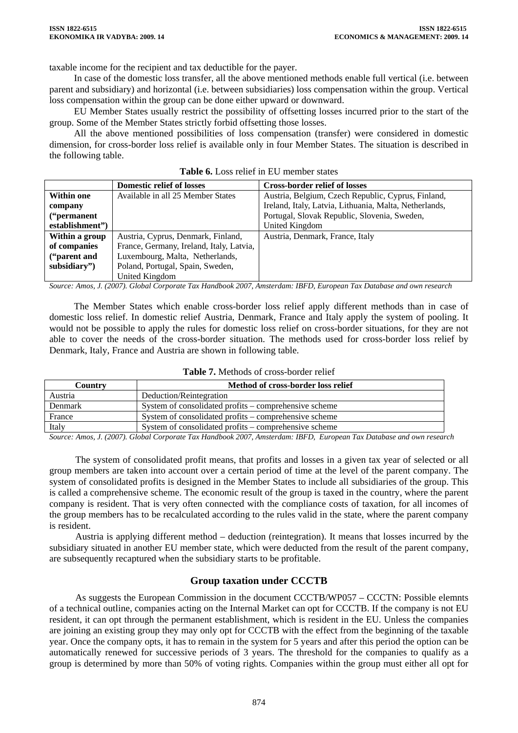taxable income for the recipient and tax deductible for the payer.

In case of the domestic loss transfer, all the above mentioned methods enable full vertical (i.e. between parent and subsidiary) and horizontal (i.e. between subsidiaries) loss compensation within the group. Vertical loss compensation within the group can be done either upward or downward.

EU Member States usually restrict the possibility of offsetting losses incurred prior to the start of the group. Some of the Member States strictly forbid offsetting those losses.

All the above mentioned possibilities of loss compensation (transfer) were considered in domestic dimension, for cross-border loss relief is available only in four Member States. The situation is described in the following table.

|                 | <b>Domestic relief of losses</b>         | <b>Cross-border relief of losses</b>                   |
|-----------------|------------------------------------------|--------------------------------------------------------|
| Within one      | Available in all 25 Member States        | Austria, Belgium, Czech Republic, Cyprus, Finland,     |
| company         |                                          | Ireland, Italy, Latvia, Lithuania, Malta, Netherlands, |
| ("permanent")   |                                          | Portugal, Slovak Republic, Slovenia, Sweden,           |
| establishment") |                                          | United Kingdom                                         |
| Within a group  | Austria, Cyprus, Denmark, Finland,       | Austria, Denmark, France, Italy                        |
| of companies    | France, Germany, Ireland, Italy, Latvia, |                                                        |
| ("parent and    | Luxembourg, Malta, Netherlands,          |                                                        |
| subsidiary")    | Poland, Portugal, Spain, Sweden,         |                                                        |
|                 | United Kingdom                           |                                                        |

|  |  | <b>Table 6.</b> Loss relief in EU member states |
|--|--|-------------------------------------------------|
|--|--|-------------------------------------------------|

*Source: Amos, J. (2007). Global Corporate Tax Handbook 2007, Amsterdam: IBFD, European Tax Database and own research* 

The Member States which enable cross-border loss relief apply different methods than in case of domestic loss relief. In domestic relief Austria, Denmark, France and Italy apply the system of pooling. It would not be possible to apply the rules for domestic loss relief on cross-border situations, for they are not able to cover the needs of the cross-border situation. The methods used for cross-border loss relief by Denmark, Italy, France and Austria are shown in following table.

| Country | Method of cross-border loss relief                    |
|---------|-------------------------------------------------------|
| Austria | Deduction/Reintegration                               |
| Denmark | System of consolidated profits – comprehensive scheme |
| France  | System of consolidated profits – comprehensive scheme |
| Italy   | System of consolidated profits – comprehensive scheme |

#### **Table 7.** Methods of cross-border relief

*Source: Amos, J. (2007). Global Corporate Tax Handbook 2007, Amsterdam: IBFD, European Tax Database and own research* 

The system of consolidated profit means, that profits and losses in a given tax year of selected or all group members are taken into account over a certain period of time at the level of the parent company. The system of consolidated profits is designed in the Member States to include all subsidiaries of the group. This is called a comprehensive scheme. The economic result of the group is taxed in the country, where the parent company is resident. That is very often connected with the compliance costs of taxation, for all incomes of the group members has to be recalculated according to the rules valid in the state, where the parent company is resident.

Austria is applying different method – deduction (reintegration). It means that losses incurred by the subsidiary situated in another EU member state, which were deducted from the result of the parent company, are subsequently recaptured when the subsidiary starts to be profitable.

# **Group taxation under CCCTB**

As suggests the European Commission in the document CCCTB/WP057 – CCCTN: Possible elemnts of a technical outline, companies acting on the Internal Market can opt for CCCTB. If the company is not EU resident, it can opt through the permanent establishment, which is resident in the EU. Unless the companies are joining an existing group they may only opt for CCCTB with the effect from the beginning of the taxable year. Once the company opts, it has to remain in the system for 5 years and after this period the option can be automatically renewed for successive periods of 3 years. The threshold for the companies to qualify as a group is determined by more than 50% of voting rights. Companies within the group must either all opt for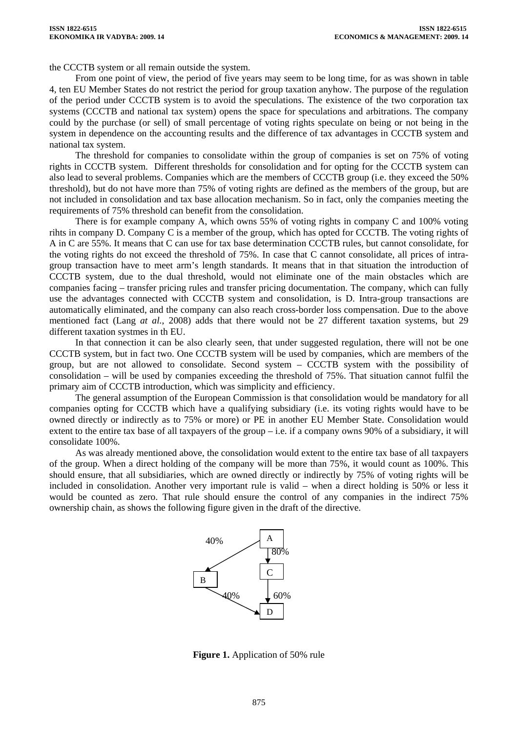the CCCTB system or all remain outside the system.

From one point of view, the period of five years may seem to be long time, for as was shown in table 4, ten EU Member States do not restrict the period for group taxation anyhow. The purpose of the regulation of the period under CCCTB system is to avoid the speculations. The existence of the two corporation tax systems (CCCTB and national tax system) opens the space for speculations and arbitrations. The company could by the purchase (or sell) of small percentage of voting rights speculate on being or not being in the system in dependence on the accounting results and the difference of tax advantages in CCCTB system and national tax system.

The threshold for companies to consolidate within the group of companies is set on 75% of voting rights in CCCTB system. Different thresholds for consolidation and for opting for the CCCTB system can also lead to several problems. Companies which are the members of CCCTB group (i.e. they exceed the 50% threshold), but do not have more than 75% of voting rights are defined as the members of the group, but are not included in consolidation and tax base allocation mechanism. So in fact, only the companies meeting the requirements of 75% threshold can benefit from the consolidation.

There is for example company A, which owns 55% of voting rights in company C and 100% voting rihts in company D. Company C is a member of the group, which has opted for CCCTB. The voting rights of A in C are 55%. It means that C can use for tax base determination CCCTB rules, but cannot consolidate, for the voting rights do not exceed the threshold of 75%. In case that C cannot consolidate, all prices of intragroup transaction have to meet arm's length standards. It means that in that situation the introduction of CCCTB system, due to the dual threshold, would not eliminate one of the main obstacles which are companies facing – transfer pricing rules and transfer pricing documentation. The company, which can fully use the advantages connected with CCCTB system and consolidation, is D. Intra-group transactions are automatically eliminated, and the company can also reach cross-border loss compensation. Due to the above mentioned fact (Lang *at al.*, 2008) adds that there would not be 27 different taxation systems, but 29 different taxation systmes in th EU.

In that connection it can be also clearly seen, that under suggested regulation, there will not be one CCCTB system, but in fact two. One CCCTB system will be used by companies, which are members of the group, but are not allowed to consolidate. Second system – CCCTB system with the possibility of consolidation – will be used by companies exceeding the threshold of 75%. That situation cannot fulfil the primary aim of CCCTB introduction, which was simplicity and efficiency.

The general assumption of the European Commission is that consolidation would be mandatory for all companies opting for CCCTB which have a qualifying subsidiary (i.e. its voting rights would have to be owned directly or indirectly as to 75% or more) or PE in another EU Member State. Consolidation would extent to the entire tax base of all taxpayers of the group – i.e. if a company owns 90% of a subsidiary, it will consolidate 100%.

As was already mentioned above, the consolidation would extent to the entire tax base of all taxpayers of the group. When a direct holding of the company will be more than 75%, it would count as 100%. This should ensure, that all subsidiaries, which are owned directly or indirectly by 75% of voting rights will be included in consolidation. Another very important rule is valid – when a direct holding is 50% or less it would be counted as zero. That rule should ensure the control of any companies in the indirect 75% ownership chain, as shows the following figure given in the draft of the directive.



**Figure 1.** Application of 50% rule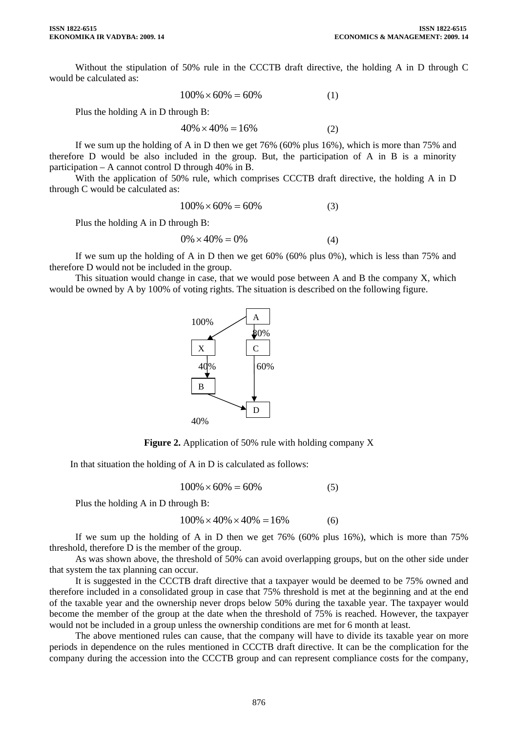Without the stipulation of 50% rule in the CCCTB draft directive, the holding A in D through C would be calculated as:

$$
100\% \times 60\% = 60\% \tag{1}
$$

Plus the holding A in D through B:

$$
40\% \times 40\% = 16\% \tag{2}
$$

If we sum up the holding of A in D then we get 76% (60% plus 16%), which is more than 75% and therefore D would be also included in the group. But, the participation of A in B is a minority participation – A cannot control D through 40% in B.

With the application of 50% rule, which comprises CCCTB draft directive, the holding A in D through C would be calculated as:

$$
100\% \times 60\% = 60\% \tag{3}
$$

Plus the holding A in D through B:

$$
0\% \times 40\% = 0\% \tag{4}
$$

If we sum up the holding of A in D then we get 60% (60% plus 0%), which is less than 75% and therefore D would not be included in the group.

This situation would change in case, that we would pose between A and B the company X, which would be owned by A by 100% of voting rights. The situation is described on the following figure.



**Figure 2.** Application of 50% rule with holding company X

In that situation the holding of A in D is calculated as follows:

$$
100\% \times 60\% = 60\% \tag{5}
$$

Plus the holding A in D through B:

$$
100\% \times 40\% \times 40\% = 16\% \tag{6}
$$

If we sum up the holding of A in D then we get 76% (60% plus 16%), which is more than 75% threshold, therefore D is the member of the group.

As was shown above, the threshold of 50% can avoid overlapping groups, but on the other side under that system the tax planning can occur.

It is suggested in the CCCTB draft directive that a taxpayer would be deemed to be 75% owned and therefore included in a consolidated group in case that 75% threshold is met at the beginning and at the end of the taxable year and the ownership never drops below 50% during the taxable year. The taxpayer would become the member of the group at the date when the threshold of 75% is reached. However, the taxpayer would not be included in a group unless the ownership conditions are met for 6 month at least.

The above mentioned rules can cause, that the company will have to divide its taxable year on more periods in dependence on the rules mentioned in CCCTB draft directive. It can be the complication for the company during the accession into the CCCTB group and can represent compliance costs for the company,